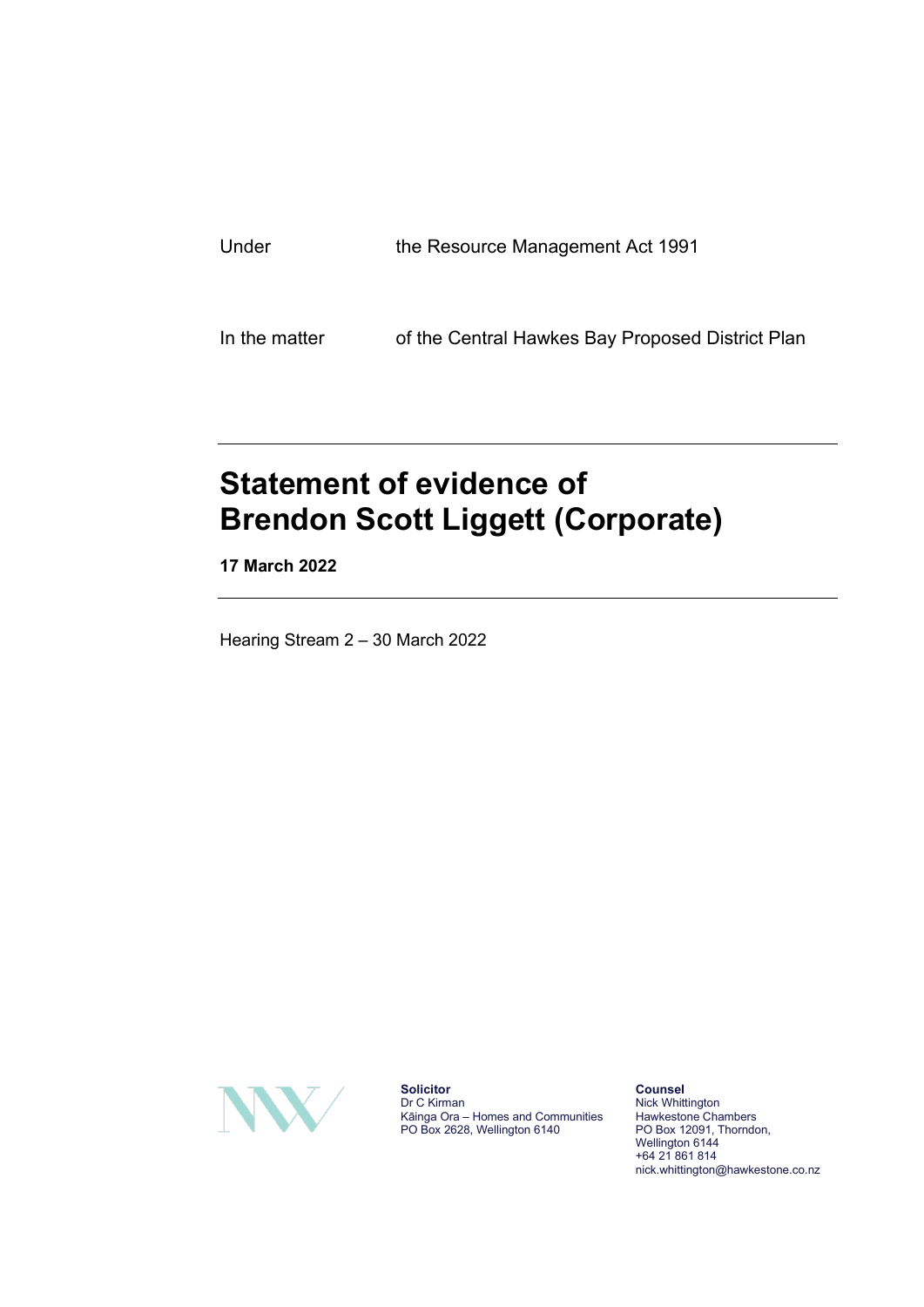| Under | the Resource Management Act 1991 |
|-------|----------------------------------|
|       |                                  |
|       |                                  |

In the matter of the Central Hawkes Bay Proposed District Plan

# **Statement of evidence of Brendon Scott Liggett (Corporate)**

**17 March 2022**

Hearing Stream 2 – 30 March 2022



**Solicitor** Dr C Kirman Kāinga Ora – Homes and Communities PO Box 2628, Wellington 6140

**Counsel** Nick Whittington Hawkestone Chambers PO Box 12091, Thorndon, Wellington 6144 +64 21 861 814 nick.whittington@hawkestone.co.nz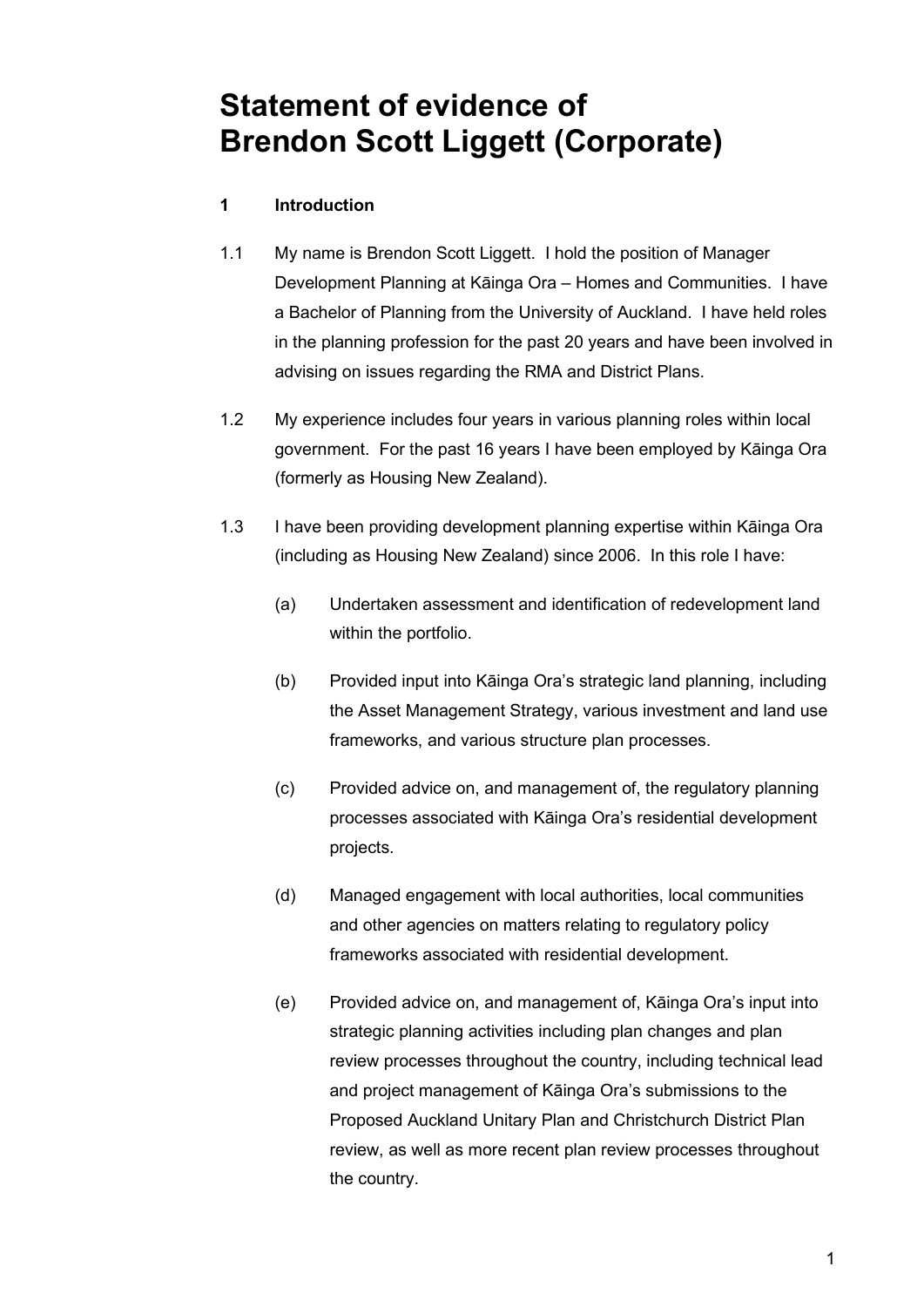## **Statement of evidence of Brendon Scott Liggett (Corporate)**

#### **1 Introduction**

- 1.1 My name is Brendon Scott Liggett. I hold the position of Manager Development Planning at Kāinga Ora – Homes and Communities. I have a Bachelor of Planning from the University of Auckland. I have held roles in the planning profession for the past 20 years and have been involved in advising on issues regarding the RMA and District Plans.
- 1.2 My experience includes four years in various planning roles within local government. For the past 16 years I have been employed by Kāinga Ora (formerly as Housing New Zealand).
- 1.3 I have been providing development planning expertise within Kāinga Ora (including as Housing New Zealand) since 2006. In this role I have:
	- (a) Undertaken assessment and identification of redevelopment land within the portfolio.
	- (b) Provided input into Kāinga Ora's strategic land planning, including the Asset Management Strategy, various investment and land use frameworks, and various structure plan processes.
	- (c) Provided advice on, and management of, the regulatory planning processes associated with Kāinga Ora's residential development projects.
	- (d) Managed engagement with local authorities, local communities and other agencies on matters relating to regulatory policy frameworks associated with residential development.
	- (e) Provided advice on, and management of, Kāinga Ora's input into strategic planning activities including plan changes and plan review processes throughout the country, including technical lead and project management of Kāinga Ora's submissions to the Proposed Auckland Unitary Plan and Christchurch District Plan review, as well as more recent plan review processes throughout the country.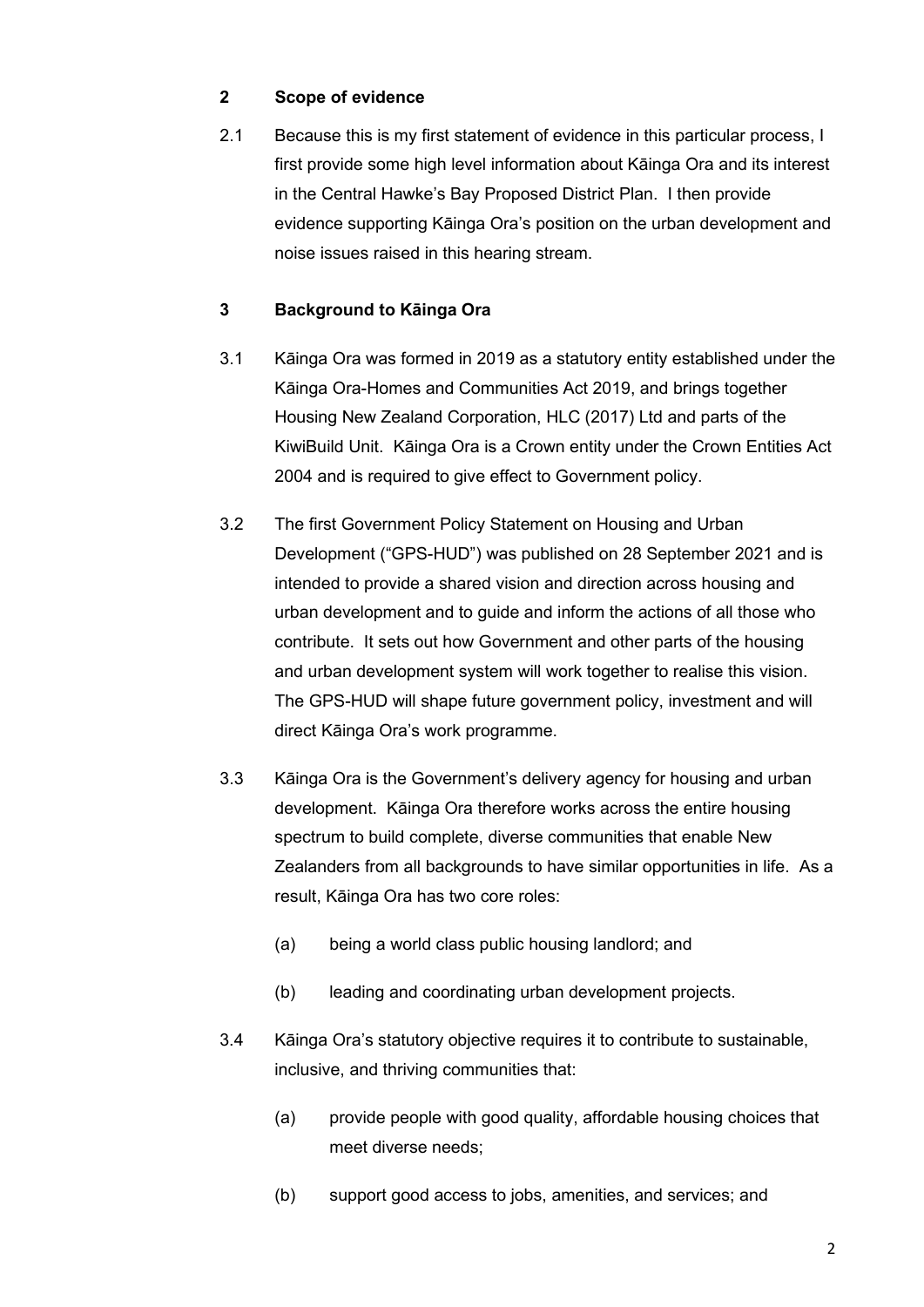#### **2 Scope of evidence**

2.1 Because this is my first statement of evidence in this particular process, I first provide some high level information about Kāinga Ora and its interest in the Central Hawke's Bay Proposed District Plan. I then provide evidence supporting Kāinga Ora's position on the urban development and noise issues raised in this hearing stream.

### **3 Background to Kāinga Ora**

- 3.1 Kāinga Ora was formed in 2019 as a statutory entity established under the Kāinga Ora-Homes and Communities Act 2019, and brings together Housing New Zealand Corporation, HLC (2017) Ltd and parts of the KiwiBuild Unit. Kāinga Ora is a Crown entity under the Crown Entities Act 2004 and is required to give effect to Government policy.
- 3.2 The first Government Policy Statement on Housing and Urban Development ("GPS-HUD") was published on 28 September 2021 and is intended to provide a shared vision and direction across housing and urban development and to guide and inform the actions of all those who contribute. It sets out how Government and other parts of the housing and urban development system will work together to realise this vision. The GPS-HUD will shape future government policy, investment and will direct Kāinga Ora's work programme.
- 3.3 Kāinga Ora is the Government's delivery agency for housing and urban development. Kāinga Ora therefore works across the entire housing spectrum to build complete, diverse communities that enable New Zealanders from all backgrounds to have similar opportunities in life. As a result, Kāinga Ora has two core roles:
	- (a) being a world class public housing landlord; and
	- (b) leading and coordinating urban development projects.
- 3.4 Kāinga Ora's statutory objective requires it to contribute to sustainable, inclusive, and thriving communities that:
	- (a) provide people with good quality, affordable housing choices that meet diverse needs;
	- (b) support good access to jobs, amenities, and services; and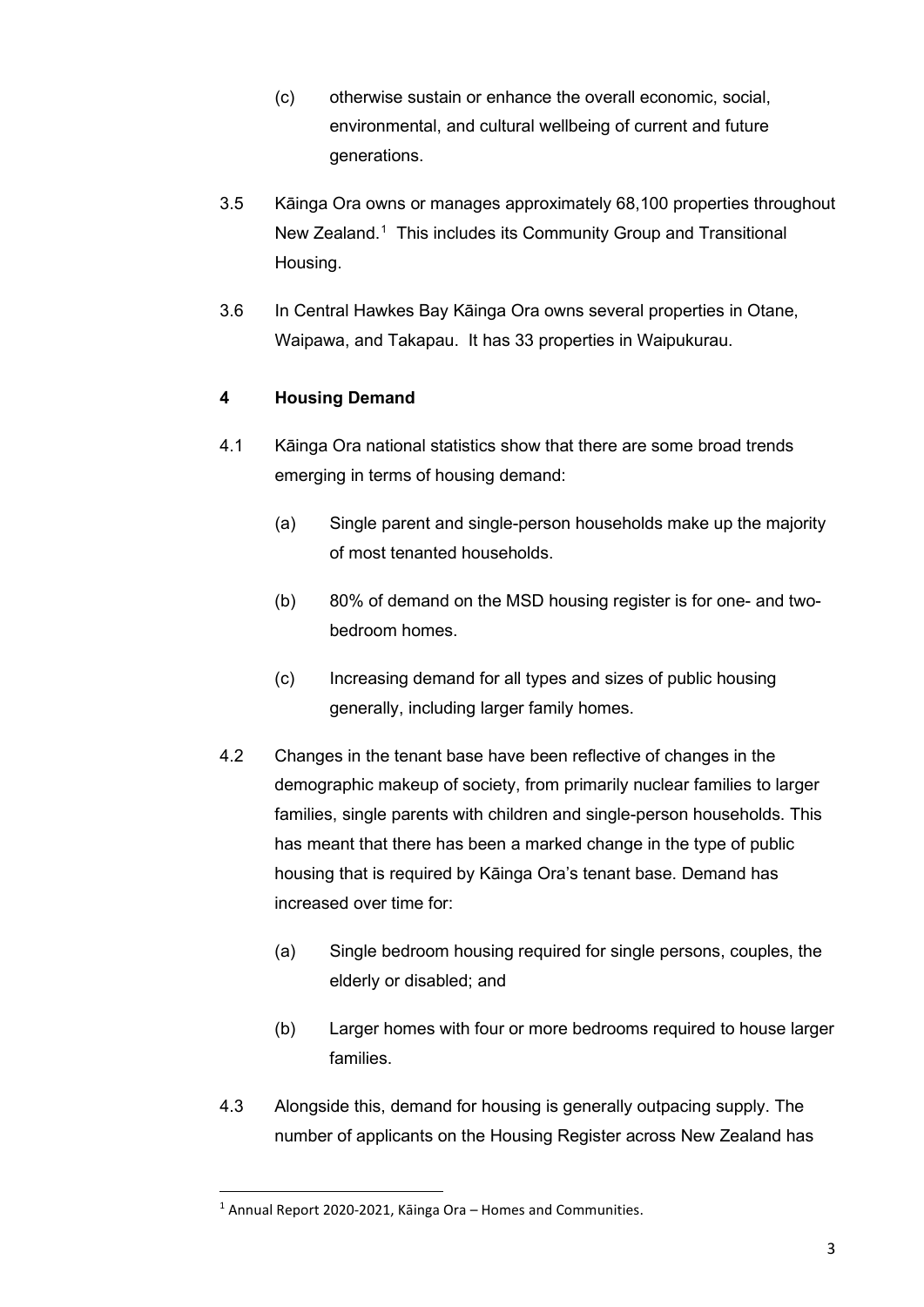- (c) otherwise sustain or enhance the overall economic, social, environmental, and cultural wellbeing of current and future generations.
- 3.5 Kāinga Ora owns or manages approximately 68,100 properties throughout New Zealand.<sup>[1](#page-3-0)</sup> This includes its Community Group and Transitional Housing.
- 3.6 In Central Hawkes Bay Kāinga Ora owns several properties in Otane, Waipawa, and Takapau. It has 33 properties in Waipukurau.

### **4 Housing Demand**

- 4.1 Kāinga Ora national statistics show that there are some broad trends emerging in terms of housing demand:
	- (a) Single parent and single-person households make up the majority of most tenanted households.
	- (b) 80% of demand on the MSD housing register is for one- and twobedroom homes.
	- (c) Increasing demand for all types and sizes of public housing generally, including larger family homes.
- 4.2 Changes in the tenant base have been reflective of changes in the demographic makeup of society, from primarily nuclear families to larger families, single parents with children and single-person households. This has meant that there has been a marked change in the type of public housing that is required by Kāinga Ora's tenant base. Demand has increased over time for:
	- (a) Single bedroom housing required for single persons, couples, the elderly or disabled; and
	- (b) Larger homes with four or more bedrooms required to house larger families.
- 4.3 Alongside this, demand for housing is generally outpacing supply. The number of applicants on the Housing Register across New Zealand has

<span id="page-3-0"></span> $1$  Annual Report 2020-2021, Kāinga Ora – Homes and Communities.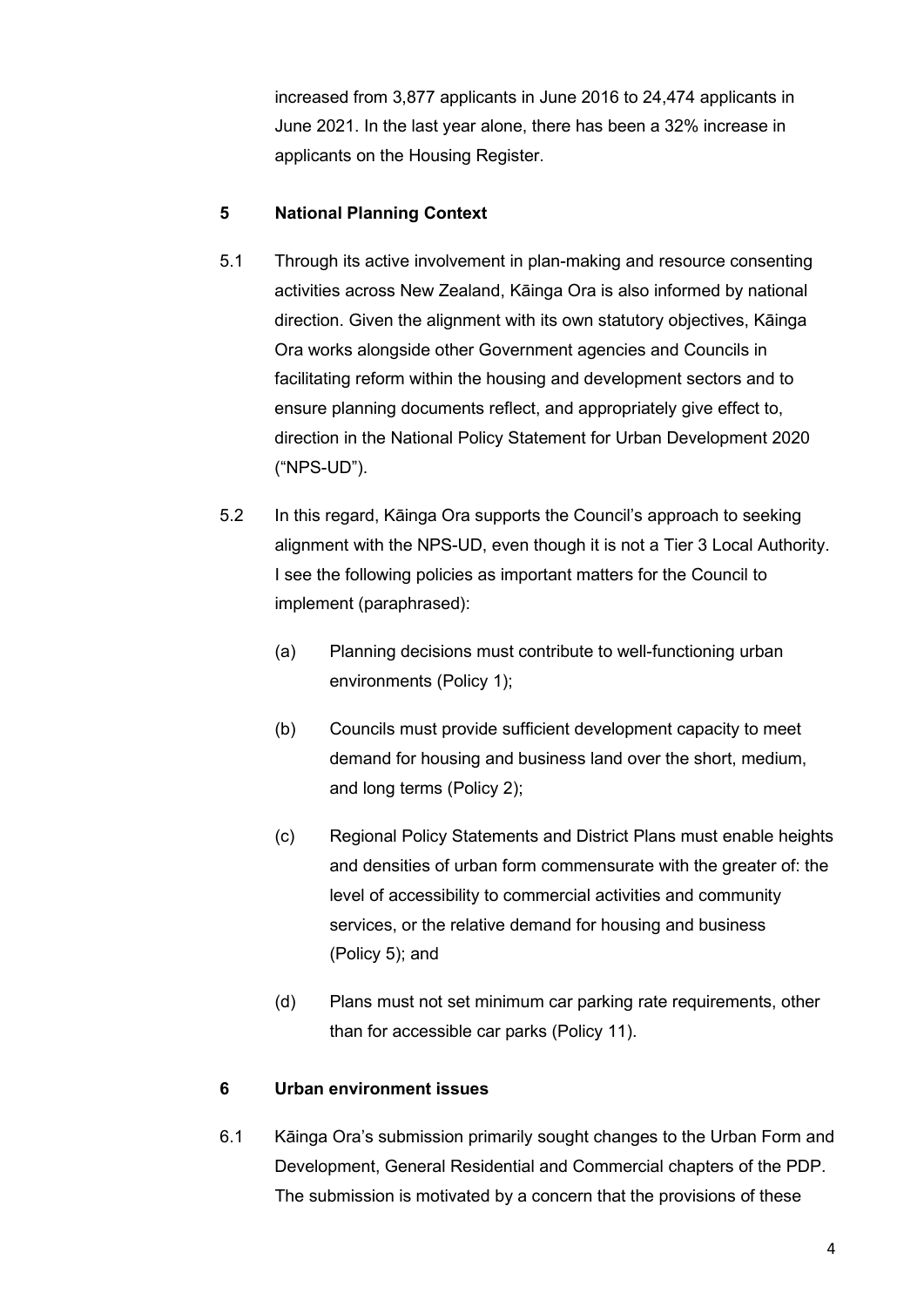increased from 3,877 applicants in June 2016 to 24,474 applicants in June 2021. In the last year alone, there has been a 32% increase in applicants on the Housing Register.

#### **5 National Planning Context**

- 5.1 Through its active involvement in plan-making and resource consenting activities across New Zealand, Kāinga Ora is also informed by national direction. Given the alignment with its own statutory objectives, Kāinga Ora works alongside other Government agencies and Councils in facilitating reform within the housing and development sectors and to ensure planning documents reflect, and appropriately give effect to, direction in the National Policy Statement for Urban Development 2020 ("NPS-UD").
- 5.2 In this regard, Kāinga Ora supports the Council's approach to seeking alignment with the NPS-UD, even though it is not a Tier 3 Local Authority. I see the following policies as important matters for the Council to implement (paraphrased):
	- (a) Planning decisions must contribute to well-functioning urban environments (Policy 1);
	- (b) Councils must provide sufficient development capacity to meet demand for housing and business land over the short, medium, and long terms (Policy 2);
	- (c) Regional Policy Statements and District Plans must enable heights and densities of urban form commensurate with the greater of: the level of accessibility to commercial activities and community services, or the relative demand for housing and business (Policy 5); and
	- (d) Plans must not set minimum car parking rate requirements, other than for accessible car parks (Policy 11).

#### **6 Urban environment issues**

6.1 Kāinga Ora's submission primarily sought changes to the Urban Form and Development, General Residential and Commercial chapters of the PDP. The submission is motivated by a concern that the provisions of these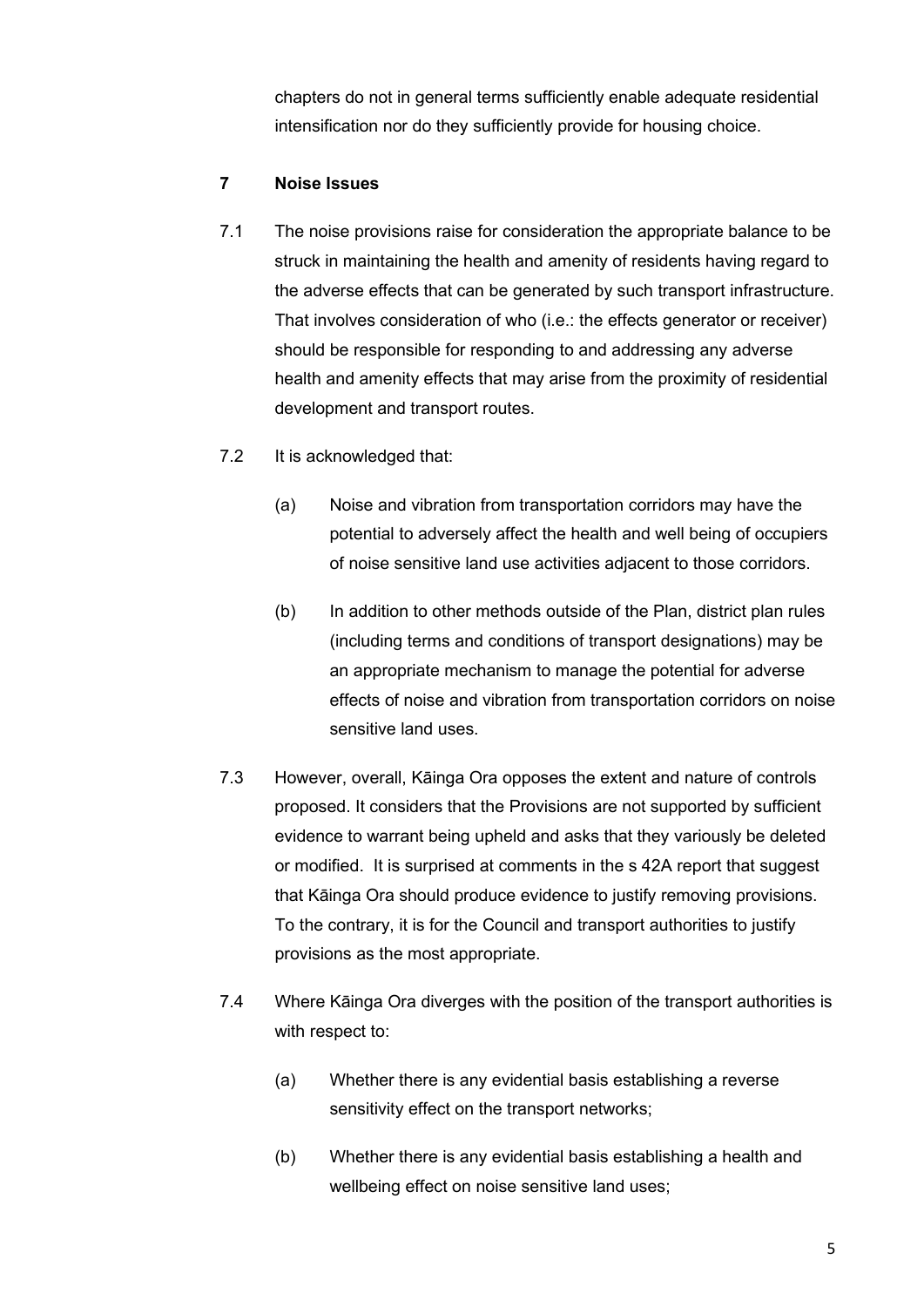chapters do not in general terms sufficiently enable adequate residential intensification nor do they sufficiently provide for housing choice.

#### **7 Noise Issues**

- 7.1 The noise provisions raise for consideration the appropriate balance to be struck in maintaining the health and amenity of residents having regard to the adverse effects that can be generated by such transport infrastructure. That involves consideration of who (i.e.: the effects generator or receiver) should be responsible for responding to and addressing any adverse health and amenity effects that may arise from the proximity of residential development and transport routes.
- 7.2 It is acknowledged that:
	- (a) Noise and vibration from transportation corridors may have the potential to adversely affect the health and well being of occupiers of noise sensitive land use activities adjacent to those corridors.
	- (b) In addition to other methods outside of the Plan, district plan rules (including terms and conditions of transport designations) may be an appropriate mechanism to manage the potential for adverse effects of noise and vibration from transportation corridors on noise sensitive land uses.
- 7.3 However, overall, Kāinga Ora opposes the extent and nature of controls proposed. It considers that the Provisions are not supported by sufficient evidence to warrant being upheld and asks that they variously be deleted or modified. It is surprised at comments in the s 42A report that suggest that Kāinga Ora should produce evidence to justify removing provisions. To the contrary, it is for the Council and transport authorities to justify provisions as the most appropriate.
- 7.4 Where Kāinga Ora diverges with the position of the transport authorities is with respect to:
	- (a) Whether there is any evidential basis establishing a reverse sensitivity effect on the transport networks;
	- (b) Whether there is any evidential basis establishing a health and wellbeing effect on noise sensitive land uses;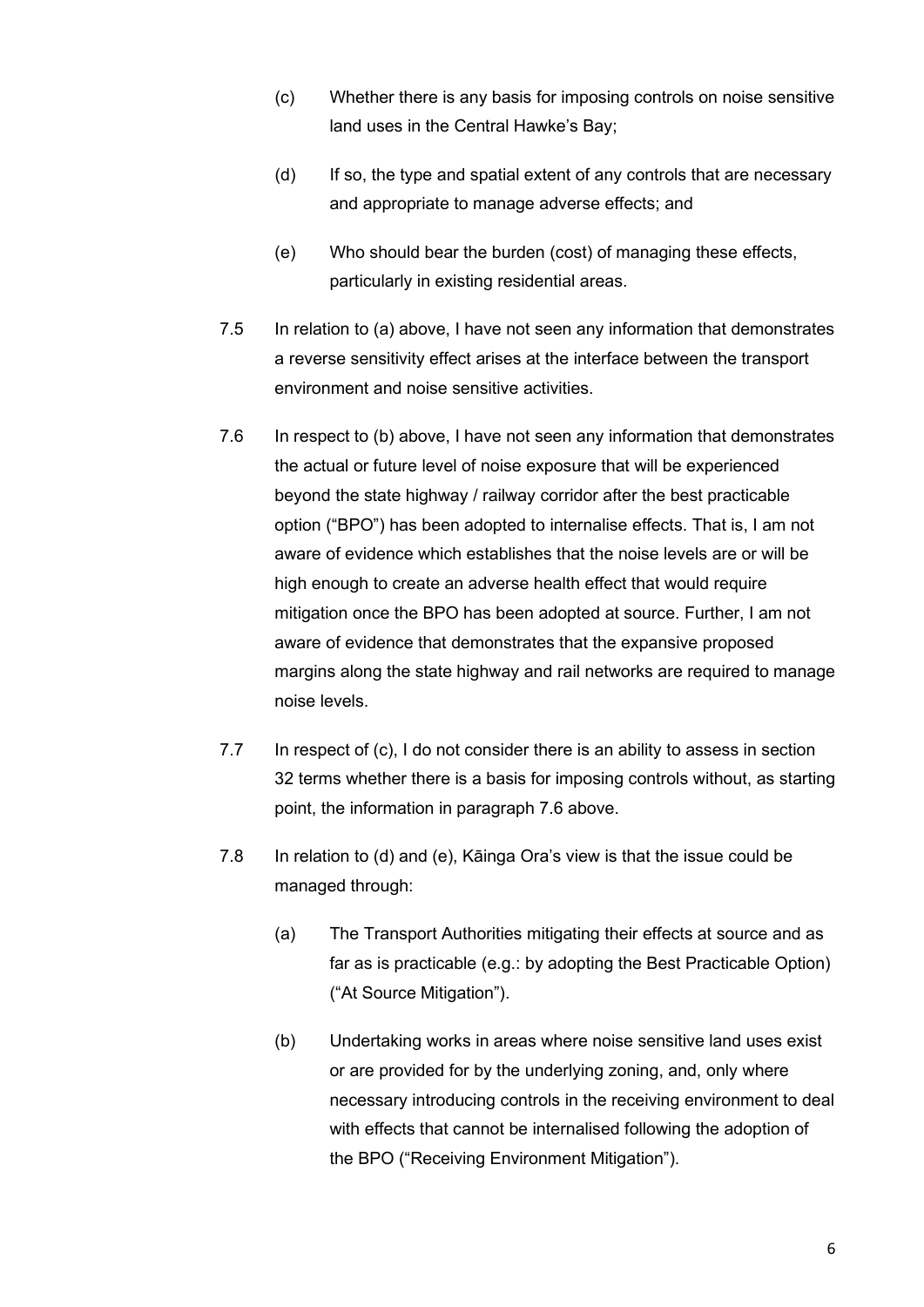- (c) Whether there is any basis for imposing controls on noise sensitive land uses in the Central Hawke's Bay;
- (d) If so, the type and spatial extent of any controls that are necessary and appropriate to manage adverse effects; and
- (e) Who should bear the burden (cost) of managing these effects, particularly in existing residential areas.
- 7.5 In relation to (a) above, I have not seen any information that demonstrates a reverse sensitivity effect arises at the interface between the transport environment and noise sensitive activities.
- <span id="page-6-0"></span>7.6 In respect to (b) above, I have not seen any information that demonstrates the actual or future level of noise exposure that will be experienced beyond the state highway / railway corridor after the best practicable option ("BPO") has been adopted to internalise effects. That is, I am not aware of evidence which establishes that the noise levels are or will be high enough to create an adverse health effect that would require mitigation once the BPO has been adopted at source. Further, I am not aware of evidence that demonstrates that the expansive proposed margins along the state highway and rail networks are required to manage noise levels.
- 7.7 In respect of (c), I do not consider there is an ability to assess in section 32 terms whether there is a basis for imposing controls without, as starting point, the information in paragraph [7.6](#page-6-0) above.
- 7.8 In relation to (d) and (e), Kāinga Ora's view is that the issue could be managed through:
	- (a) The Transport Authorities mitigating their effects at source and as far as is practicable (e.g.: by adopting the Best Practicable Option) ("At Source Mitigation").
	- (b) Undertaking works in areas where noise sensitive land uses exist or are provided for by the underlying zoning, and, only where necessary introducing controls in the receiving environment to deal with effects that cannot be internalised following the adoption of the BPO ("Receiving Environment Mitigation").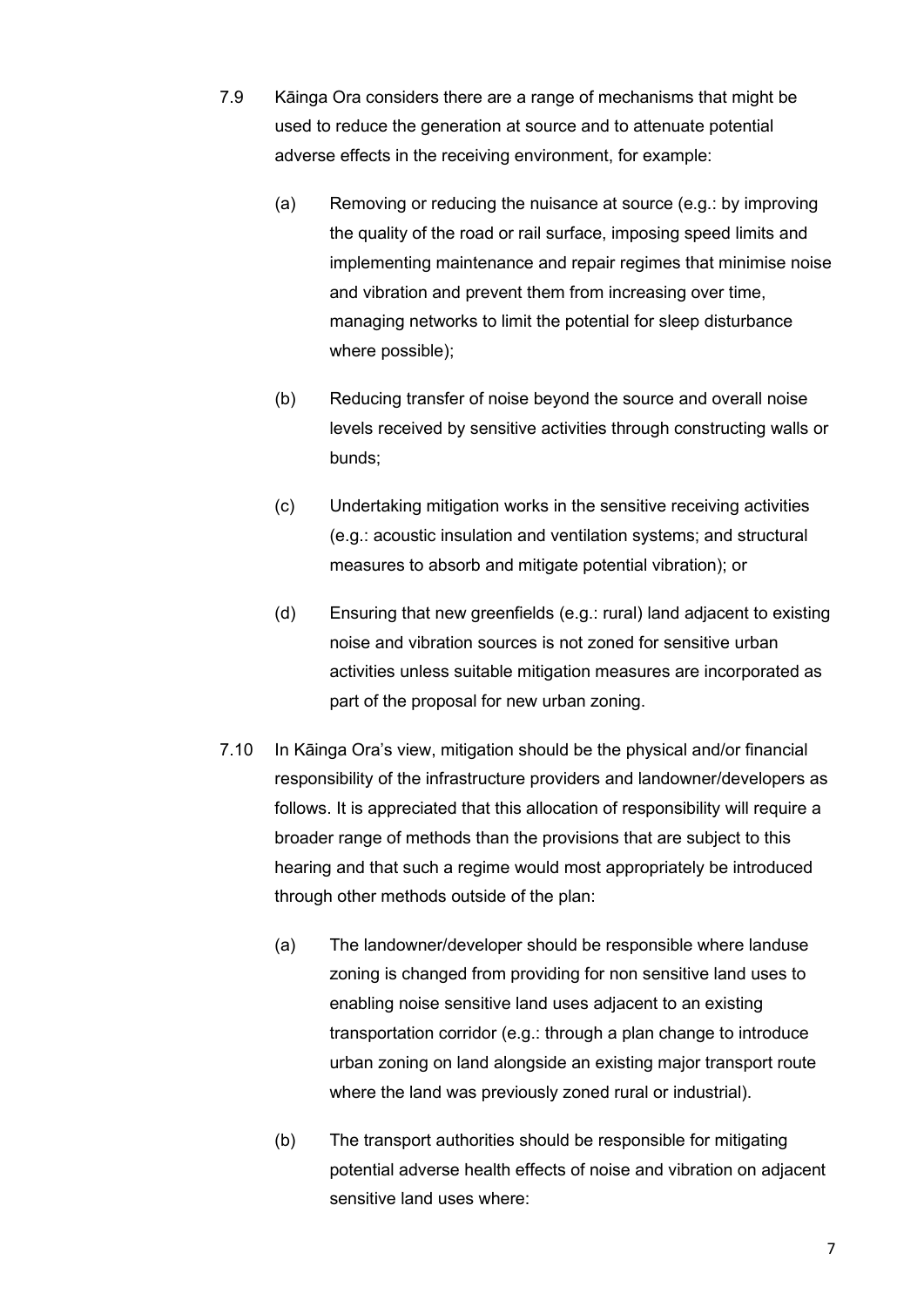- <span id="page-7-0"></span>7.9 Kāinga Ora considers there are a range of mechanisms that might be used to reduce the generation at source and to attenuate potential adverse effects in the receiving environment, for example:
	- (a) Removing or reducing the nuisance at source (e.g.: by improving the quality of the road or rail surface, imposing speed limits and implementing maintenance and repair regimes that minimise noise and vibration and prevent them from increasing over time, managing networks to limit the potential for sleep disturbance where possible);
	- (b) Reducing transfer of noise beyond the source and overall noise levels received by sensitive activities through constructing walls or bunds;
	- (c) Undertaking mitigation works in the sensitive receiving activities (e.g.: acoustic insulation and ventilation systems; and structural measures to absorb and mitigate potential vibration); or
	- (d) Ensuring that new greenfields (e.g.: rural) land adjacent to existing noise and vibration sources is not zoned for sensitive urban activities unless suitable mitigation measures are incorporated as part of the proposal for new urban zoning.
- 7.10 In Kāinga Ora's view, mitigation should be the physical and/or financial responsibility of the infrastructure providers and landowner/developers as follows. It is appreciated that this allocation of responsibility will require a broader range of methods than the provisions that are subject to this hearing and that such a regime would most appropriately be introduced through other methods outside of the plan:
	- (a) The landowner/developer should be responsible where landuse zoning is changed from providing for non sensitive land uses to enabling noise sensitive land uses adjacent to an existing transportation corridor (e.g.: through a plan change to introduce urban zoning on land alongside an existing major transport route where the land was previously zoned rural or industrial).
	- (b) The transport authorities should be responsible for mitigating potential adverse health effects of noise and vibration on adjacent sensitive land uses where: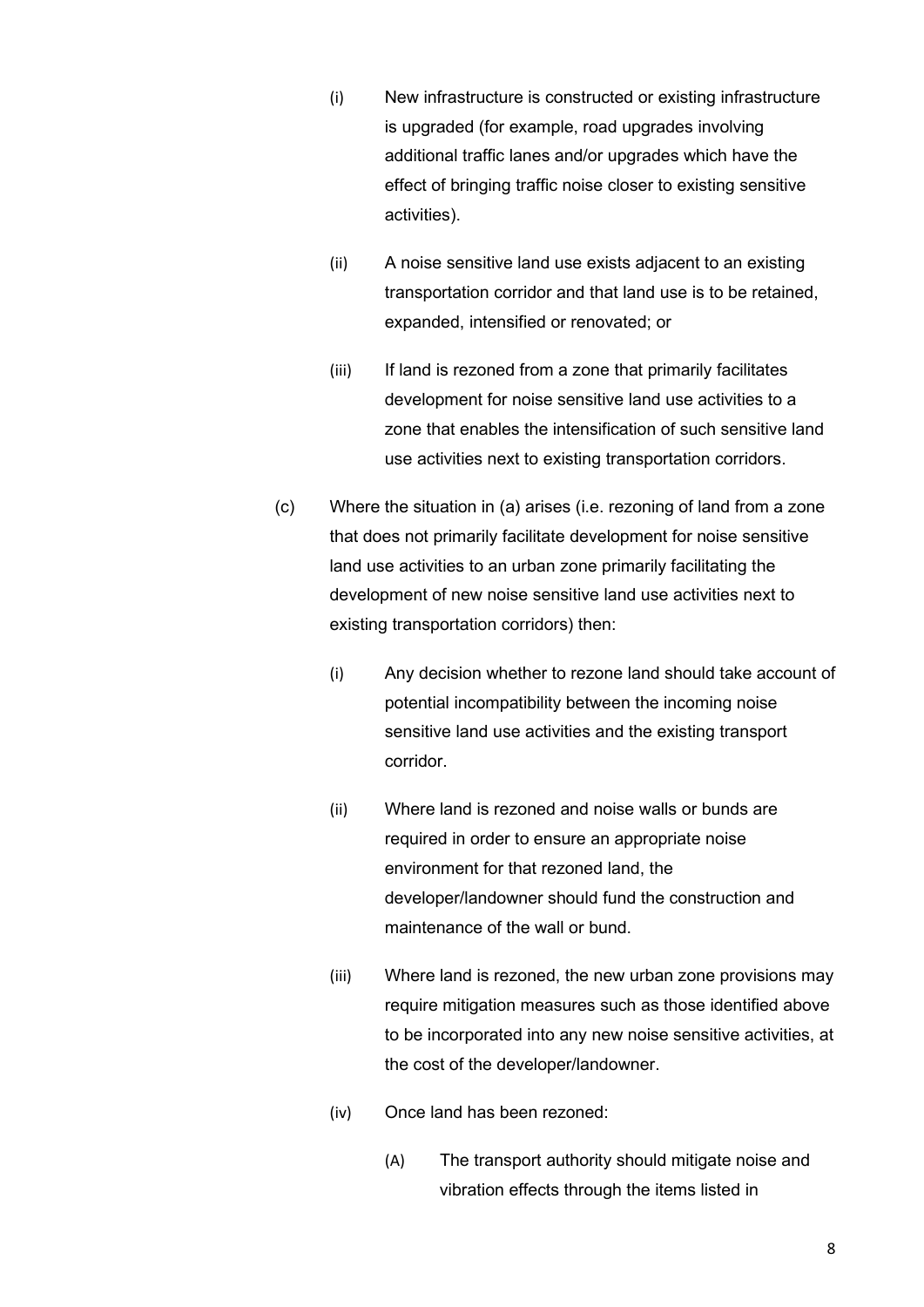- (i) New infrastructure is constructed or existing infrastructure is upgraded (for example, road upgrades involving additional traffic lanes and/or upgrades which have the effect of bringing traffic noise closer to existing sensitive activities).
- (ii) A noise sensitive land use exists adjacent to an existing transportation corridor and that land use is to be retained, expanded, intensified or renovated; or
- (iii) If land is rezoned from a zone that primarily facilitates development for noise sensitive land use activities to a zone that enables the intensification of such sensitive land use activities next to existing transportation corridors.
- (c) Where the situation in (a) arises (i.e. rezoning of land from a zone that does not primarily facilitate development for noise sensitive land use activities to an urban zone primarily facilitating the development of new noise sensitive land use activities next to existing transportation corridors) then:
	- (i) Any decision whether to rezone land should take account of potential incompatibility between the incoming noise sensitive land use activities and the existing transport corridor.
	- (ii) Where land is rezoned and noise walls or bunds are required in order to ensure an appropriate noise environment for that rezoned land, the developer/landowner should fund the construction and maintenance of the wall or bund.
	- (iii) Where land is rezoned, the new urban zone provisions may require mitigation measures such as those identified above to be incorporated into any new noise sensitive activities, at the cost of the developer/landowner.
	- (iv) Once land has been rezoned:
		- (A) The transport authority should mitigate noise and vibration effects through the items listed in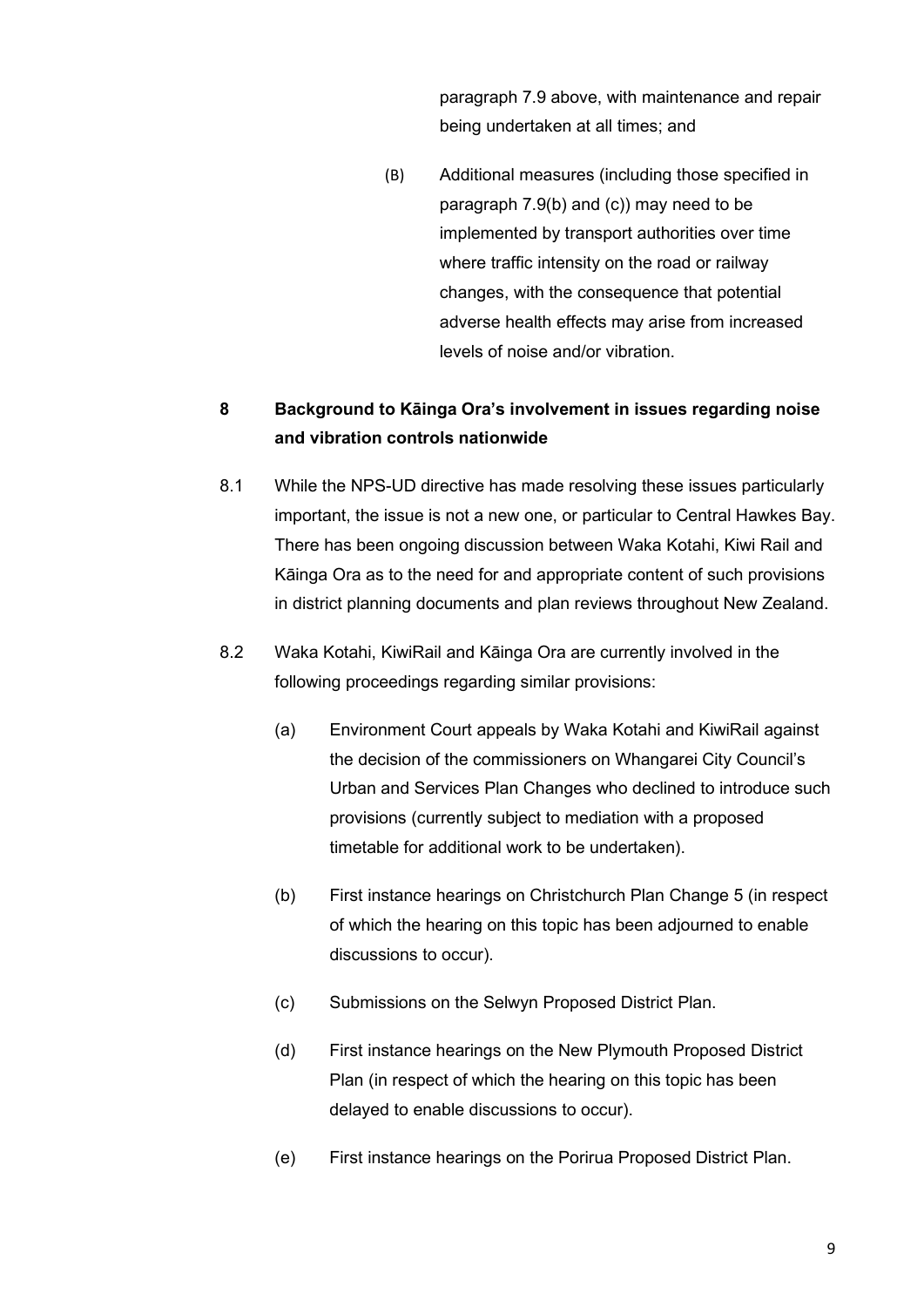paragraph [7.9](#page-7-0) above, with maintenance and repair being undertaken at all times; and

(B) Additional measures (including those specified in paragraph [7.9](#page-7-0)(b) and (c)) may need to be implemented by transport authorities over time where traffic intensity on the road or railway changes, with the consequence that potential adverse health effects may arise from increased levels of noise and/or vibration.

## **8 Background to Kāinga Ora's involvement in issues regarding noise and vibration controls nationwide**

- 8.1 While the NPS-UD directive has made resolving these issues particularly important, the issue is not a new one, or particular to Central Hawkes Bay. There has been ongoing discussion between Waka Kotahi, Kiwi Rail and Kāinga Ora as to the need for and appropriate content of such provisions in district planning documents and plan reviews throughout New Zealand.
- 8.2 Waka Kotahi, KiwiRail and Kāinga Ora are currently involved in the following proceedings regarding similar provisions:
	- (a) Environment Court appeals by Waka Kotahi and KiwiRail against the decision of the commissioners on Whangarei City Council's Urban and Services Plan Changes who declined to introduce such provisions (currently subject to mediation with a proposed timetable for additional work to be undertaken).
	- (b) First instance hearings on Christchurch Plan Change 5 (in respect of which the hearing on this topic has been adjourned to enable discussions to occur).
	- (c) Submissions on the Selwyn Proposed District Plan.
	- (d) First instance hearings on the New Plymouth Proposed District Plan (in respect of which the hearing on this topic has been delayed to enable discussions to occur).
	- (e) First instance hearings on the Porirua Proposed District Plan.